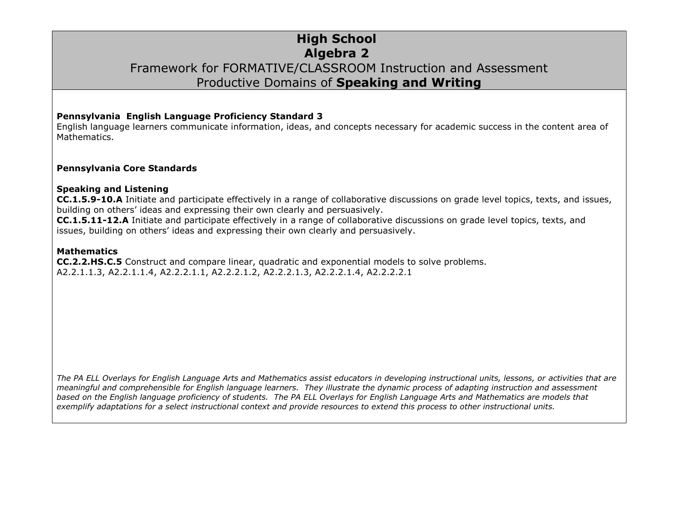### **High School Algebra 2** Framework for FORMATIVE/CLASSROOM Instruction and Assessment Productive Domains of **Speaking and Writing**

#### **Pennsylvania English Language Proficiency Standard 3**

English language learners communicate information, ideas, and concepts necessary for academic success in the content area of Mathematics.

#### **Pennsylvania Core Standards**

#### **Speaking and Listening**

**CC.1.5.9-10.A** Initiate and participate effectively in a range of collaborative discussions on grade level topics, texts, and issues, building on others' ideas and expressing their own clearly and persuasively.

**CC.1.5.11-12.A** Initiate and participate effectively in a range of collaborative discussions on grade level topics, texts, and issues, building on others' ideas and expressing their own clearly and persuasively.

#### **Mathematics**

**CC.2.2.HS.C.5** Construct and compare linear, quadratic and exponential models to solve problems. A2.2.1.1.3, A2.2.1.1.4, A2.2.2.1.1, A2.2.2.1.2, A2.2.2.1.3, A2.2.2.1.4, A2.2.2.2.1

*The PA ELL Overlays for English Language Arts and Mathematics assist educators in developing instructional units, lessons, or activities that are meaningful and comprehensible for English language learners. They illustrate the dynamic process of adapting instruction and assessment based on the English language proficiency of students. The PA ELL Overlays for English Language Arts and Mathematics are models that exemplify adaptations for a select instructional context and provide resources to extend this process to other instructional units.*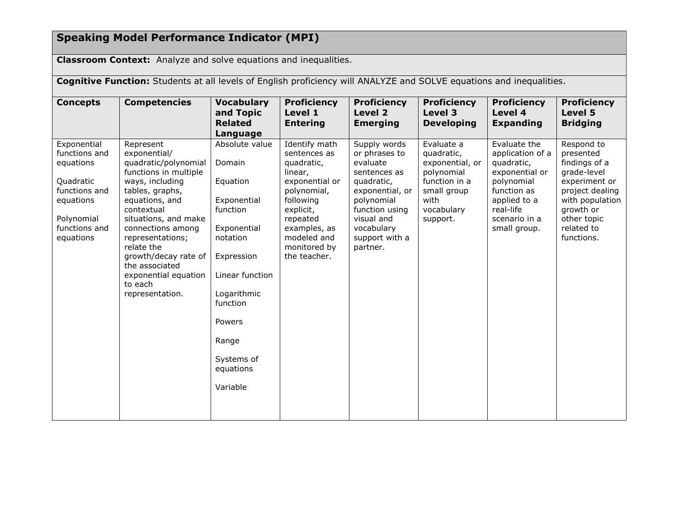# **Speaking Model Performance Indicator (MPI)**

**Classroom Context:** Analyze and solve equations and inequalities.

| <b>Cognitive Function:</b> Students at all levels of English proficiency will ANALYZE and SOLVE equations and inequalities.      |                                                                                                                                                                                                                                                                                                                                 |                                                                                                                                                                                                                  |                                                                                                                                                                                              |                                                                                                                                                                                      |                                                                                                                             |                                                                                                                                                             |                                                                                                                                                                        |  |
|----------------------------------------------------------------------------------------------------------------------------------|---------------------------------------------------------------------------------------------------------------------------------------------------------------------------------------------------------------------------------------------------------------------------------------------------------------------------------|------------------------------------------------------------------------------------------------------------------------------------------------------------------------------------------------------------------|----------------------------------------------------------------------------------------------------------------------------------------------------------------------------------------------|--------------------------------------------------------------------------------------------------------------------------------------------------------------------------------------|-----------------------------------------------------------------------------------------------------------------------------|-------------------------------------------------------------------------------------------------------------------------------------------------------------|------------------------------------------------------------------------------------------------------------------------------------------------------------------------|--|
| <b>Concepts</b>                                                                                                                  | <b>Competencies</b>                                                                                                                                                                                                                                                                                                             | <b>Vocabulary</b><br>and Topic<br><b>Related</b><br>Language                                                                                                                                                     | <b>Proficiency</b><br>Level 1<br><b>Entering</b>                                                                                                                                             | <b>Proficiency</b><br>Level 2<br><b>Emerging</b>                                                                                                                                     | <b>Proficiency</b><br>Level 3<br><b>Developing</b>                                                                          | <b>Proficiency</b><br>Level 4<br><b>Expanding</b>                                                                                                           | <b>Proficiency</b><br>Level 5<br><b>Bridging</b>                                                                                                                       |  |
| Exponential<br>functions and<br>equations<br>Quadratic<br>functions and<br>equations<br>Polynomial<br>functions and<br>equations | Represent<br>exponential/<br>quadratic/polynomial<br>functions in multiple<br>ways, including<br>tables, graphs,<br>equations, and<br>contextual<br>situations, and make<br>connections among<br>representations;<br>relate the<br>growth/decay rate of<br>the associated<br>exponential equation<br>to each<br>representation. | Absolute value<br>Domain<br>Equation<br>Exponential<br>function<br>Exponential<br>notation<br>Expression<br>Linear function<br>Logarithmic<br>function<br>Powers<br>Range<br>Systems of<br>equations<br>Variable | Identify math<br>sentences as<br>quadratic,<br>linear,<br>exponential or<br>polynomial,<br>following<br>explicit,<br>repeated<br>examples, as<br>modeled and<br>monitored by<br>the teacher. | Supply words<br>or phrases to<br>evaluate<br>sentences as<br>quadratic,<br>exponential, or<br>polynomial<br>function using<br>visual and<br>vocabulary<br>support with a<br>partner. | Evaluate a<br>quadratic,<br>exponential, or<br>polynomial<br>function in a<br>small group<br>with<br>vocabulary<br>support. | Evaluate the<br>application of a<br>quadratic,<br>exponential or<br>polynomial<br>function as<br>applied to a<br>real-life<br>scenario in a<br>small group. | Respond to<br>presented<br>findings of a<br>grade-level<br>experiment or<br>project dealing<br>with population<br>growth or<br>other topic<br>related to<br>functions. |  |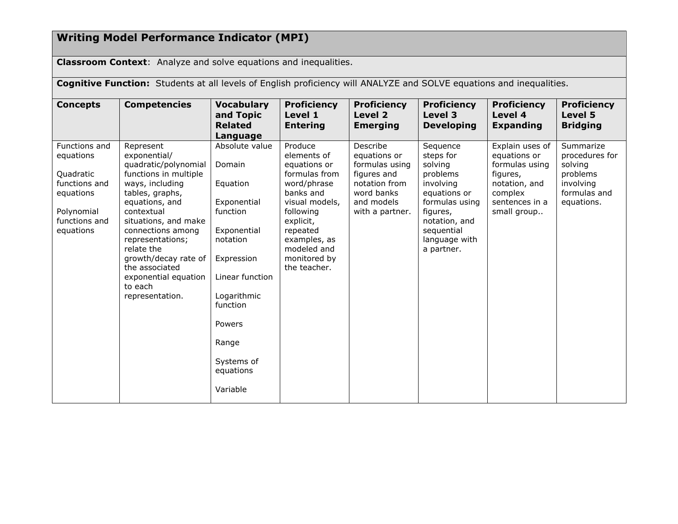## **Writing Model Performance Indicator (MPI)**

**Classroom Context**: Analyze and solve equations and inequalities.

**Cognitive Function:** Students at all levels of English proficiency will ANALYZE and SOLVE equations and inequalities.

| <b>Concepts</b>                                                                                                   | <b>Competencies</b>                                                                                                                                                                                                                                                                                                             | <b>Vocabulary</b><br>and Topic<br><b>Related</b><br>Language                                                                                                                                                     | <b>Proficiency</b><br>Level 1<br><b>Entering</b>                                                                                                                                                           | <b>Proficiency</b><br>Level 2<br><b>Emerging</b>                                                                          | <b>Proficiency</b><br>Level 3<br><b>Developing</b>                                                                                                                    | <b>Proficiency</b><br>Level 4<br><b>Expanding</b>                                                                          | <b>Proficiency</b><br>Level 5<br><b>Bridging</b>                                              |
|-------------------------------------------------------------------------------------------------------------------|---------------------------------------------------------------------------------------------------------------------------------------------------------------------------------------------------------------------------------------------------------------------------------------------------------------------------------|------------------------------------------------------------------------------------------------------------------------------------------------------------------------------------------------------------------|------------------------------------------------------------------------------------------------------------------------------------------------------------------------------------------------------------|---------------------------------------------------------------------------------------------------------------------------|-----------------------------------------------------------------------------------------------------------------------------------------------------------------------|----------------------------------------------------------------------------------------------------------------------------|-----------------------------------------------------------------------------------------------|
| Functions and<br>equations<br>Quadratic<br>functions and<br>equations<br>Polynomial<br>functions and<br>equations | Represent<br>exponential/<br>quadratic/polynomial<br>functions in multiple<br>ways, including<br>tables, graphs,<br>equations, and<br>contextual<br>situations, and make<br>connections among<br>representations;<br>relate the<br>growth/decay rate of<br>the associated<br>exponential equation<br>to each<br>representation. | Absolute value<br>Domain<br>Equation<br>Exponential<br>function<br>Exponential<br>notation<br>Expression<br>Linear function<br>Logarithmic<br>function<br>Powers<br>Range<br>Systems of<br>equations<br>Variable | Produce<br>elements of<br>equations or<br>formulas from<br>word/phrase<br>banks and<br>visual models,<br>following<br>explicit,<br>repeated<br>examples, as<br>modeled and<br>monitored by<br>the teacher. | Describe<br>equations or<br>formulas using<br>figures and<br>notation from<br>word banks<br>and models<br>with a partner. | Sequence<br>steps for<br>solving<br>problems<br>involving<br>equations or<br>formulas using<br>figures,<br>notation, and<br>sequential<br>language with<br>a partner. | Explain uses of<br>equations or<br>formulas using<br>figures,<br>notation, and<br>complex<br>sentences in a<br>small group | Summarize<br>procedures for<br>solving<br>problems<br>involving<br>formulas and<br>equations. |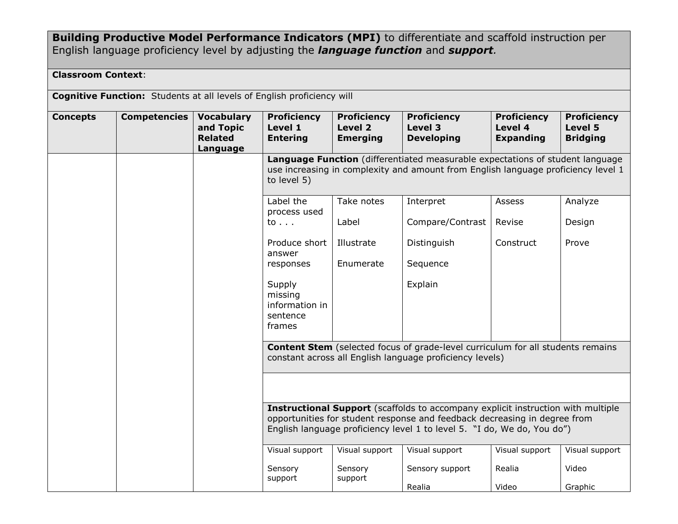**Building Productive Model Performance Indicators (MPI)** to differentiate and scaffold instruction per English language proficiency level by adjusting the *language function* and *support.*

### **Classroom Context**:

**Cognitive Function:** Students at all levels of English proficiency will

| <b>Concepts</b> | <b>Competencies</b> | <b>Vocabulary</b><br>and Topic<br><b>Related</b><br>Language | <b>Proficiency</b><br>Level 1<br><b>Entering</b>                                                                                                                                                                                                | <b>Proficiency</b><br>Level 2<br><b>Emerging</b> | <b>Proficiency</b><br>Level 3<br><b>Developing</b> | <b>Proficiency</b><br>Level 4<br><b>Expanding</b> | <b>Proficiency</b><br>Level 5<br><b>Bridging</b> |  |  |
|-----------------|---------------------|--------------------------------------------------------------|-------------------------------------------------------------------------------------------------------------------------------------------------------------------------------------------------------------------------------------------------|--------------------------------------------------|----------------------------------------------------|---------------------------------------------------|--------------------------------------------------|--|--|
|                 |                     |                                                              | Language Function (differentiated measurable expectations of student language<br>use increasing in complexity and amount from English language proficiency level 1<br>to level 5)                                                               |                                                  |                                                    |                                                   |                                                  |  |  |
|                 |                     |                                                              | Label the<br>process used                                                                                                                                                                                                                       | Take notes                                       | Interpret                                          | Assess                                            | Analyze                                          |  |  |
|                 |                     |                                                              | to                                                                                                                                                                                                                                              | Label                                            | Compare/Contrast                                   | Revise                                            | Design                                           |  |  |
|                 |                     |                                                              | Produce short<br>answer                                                                                                                                                                                                                         | Illustrate                                       | Distinguish                                        | Construct                                         | Prove                                            |  |  |
|                 |                     |                                                              | responses                                                                                                                                                                                                                                       | Enumerate                                        | Sequence                                           |                                                   |                                                  |  |  |
|                 |                     |                                                              | Supply<br>missing<br>information in<br>sentence<br>frames                                                                                                                                                                                       |                                                  | Explain                                            |                                                   |                                                  |  |  |
|                 |                     |                                                              | <b>Content Stem</b> (selected focus of grade-level curriculum for all students remains<br>constant across all English language proficiency levels)                                                                                              |                                                  |                                                    |                                                   |                                                  |  |  |
|                 |                     |                                                              |                                                                                                                                                                                                                                                 |                                                  |                                                    |                                                   |                                                  |  |  |
|                 |                     |                                                              | <b>Instructional Support</b> (scaffolds to accompany explicit instruction with multiple<br>opportunities for student response and feedback decreasing in degree from<br>English language proficiency level 1 to level 5. "I do, We do, You do") |                                                  |                                                    |                                                   |                                                  |  |  |
|                 |                     |                                                              | Visual support                                                                                                                                                                                                                                  | Visual support                                   | Visual support                                     | Visual support                                    | Visual support                                   |  |  |
|                 |                     |                                                              | Sensory<br>support                                                                                                                                                                                                                              | Sensory<br>support                               | Sensory support                                    | Realia                                            | Video                                            |  |  |
|                 |                     |                                                              |                                                                                                                                                                                                                                                 |                                                  | Realia                                             | Video                                             | Graphic                                          |  |  |